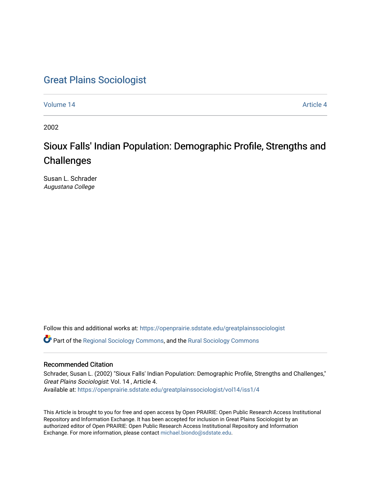# [Great Plains Sociologist](https://openprairie.sdstate.edu/greatplainssociologist)

[Volume 14](https://openprairie.sdstate.edu/greatplainssociologist/vol14) Article 4

2002

# Sioux Falls' Indian Population: Demographic Profile, Strengths and **Challenges**

Susan L. Schrader Augustana College

Follow this and additional works at: [https://openprairie.sdstate.edu/greatplainssociologist](https://openprairie.sdstate.edu/greatplainssociologist?utm_source=openprairie.sdstate.edu%2Fgreatplainssociologist%2Fvol14%2Fiss1%2F4&utm_medium=PDF&utm_campaign=PDFCoverPages) 

Part of the [Regional Sociology Commons](http://network.bepress.com/hgg/discipline/427?utm_source=openprairie.sdstate.edu%2Fgreatplainssociologist%2Fvol14%2Fiss1%2F4&utm_medium=PDF&utm_campaign=PDFCoverPages), and the [Rural Sociology Commons](http://network.bepress.com/hgg/discipline/428?utm_source=openprairie.sdstate.edu%2Fgreatplainssociologist%2Fvol14%2Fiss1%2F4&utm_medium=PDF&utm_campaign=PDFCoverPages) 

#### Recommended Citation

Schrader, Susan L. (2002) "Sioux Falls' Indian Population: Demographic Profile, Strengths and Challenges," Great Plains Sociologist: Vol. 14 , Article 4. Available at: [https://openprairie.sdstate.edu/greatplainssociologist/vol14/iss1/4](https://openprairie.sdstate.edu/greatplainssociologist/vol14/iss1/4?utm_source=openprairie.sdstate.edu%2Fgreatplainssociologist%2Fvol14%2Fiss1%2F4&utm_medium=PDF&utm_campaign=PDFCoverPages)

This Article is brought to you for free and open access by Open PRAIRIE: Open Public Research Access Institutional Repository and Information Exchange. It has been accepted for inclusion in Great Plains Sociologist by an authorized editor of Open PRAIRIE: Open Public Research Access Institutional Repository and Information Exchange. For more information, please contact [michael.biondo@sdstate.edu.](mailto:michael.biondo@sdstate.edu)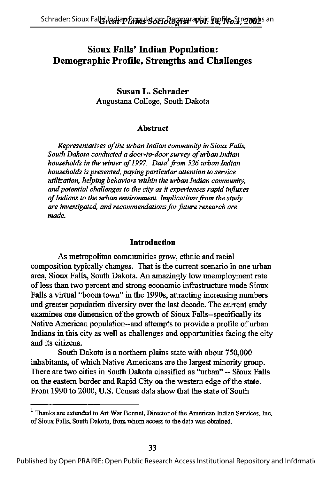# Sioux Falls' Indian Population: Demographic Profile, Strengths and Challenges

Susan L. Schrader Augustana College, South Dakota

#### Abstract

Representatives of the urban Indian community in Sioux Falls, South Dakota conducted a door-to-door survey of urban Indian households in the winter of 1997. Data<sup>1</sup> from 526 urban Indian households is presented, paying particular attention to service utilization, helping behaviors within the urban Indian community, and potential challenges to the city as it experiences rapid influxes of Indians to the urban environment. Implications from the study are investigated, and recommendations for future research are made.

#### **Introduction**

As metropolitan communities grow, ethnic and racial composition typically changes. That is the current scenario in one urban area, Sioux Falls, South Dakota. An amazingly low imemployment rate of less than two percent and strong economic infrastructure made Sioux Falls a virtual "boom town" in the 1990s, attracting increasing numbers and greater population diversity over the last decade. The current study examines one dimension of the growth of Sioux Falls--specifically its Native American population—and attempts to provide a profile of urban Indians in this city as well as challenges and opportunities facing the city and its citizens.

South Dakota is a northem plains state with about 750,000 inhabitants, of which Native Americans are the largest minority group. There are two cities in South Dakota classified as "urban" — Sioux Falls on the eastem border and Rapid City on the western edge ofthe state. From 1990 to 2000, U.S. Census data show that the state of South

<sup>&</sup>lt;sup>1</sup> Thanks are extended to Art War Bonnet, Director of the American Indian Services, Inc. of Sioux Falls, South Dakota, from whom access to the data was obtained.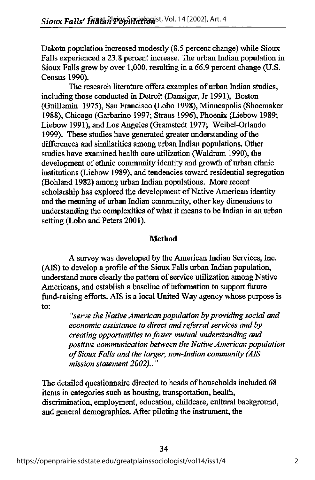Dakota population increased modestly (8.5 percent change) while Sioux Falls experienced a 23.8 percent increase. The urban Indian population in Sioux Falls grew by over 1,000, resulting in a 66.9 percent change (U.S. Census 1990).

The research literature offers examples of urban Indian studies, including those conducted in Detroit (Danziger, Jr 1991), Boston (Guillemin 1975), San Francisco (Lobo 1998), Minneapolis (Shoemaker 1988), Chicago (Garbarino 1997; Straus 1996), Phoenix (Liebow 1989; Liebow 1991), and Los Angeles (Gramstedt 1977; Weibel-Orlando 1999). These studies have generated greater understanding of the differences and similarities among urban Indian populations. Other studies have examined health care utilization (Waldram 1990), the development of ethnic community identity and growth of urban ethnic institutions (Liebow 1989), and tendencies toward residential segregation (Bohland 1982) among urban Indian populations. More recent scholarship has explored the development of Native American identity and the meaning of urban Indian community, other key dimensions to understanding the complexities of what it means to be Indian in an urban setting (Lobo and Peters 2001).

#### Method

A survey was developed by the American Indian Services, Inc. (AIS) to develop a profile of the Sioux Falls urban Indian population, understand more clearly the pattern of service utilization among Native Americans, and establish a baseline of information to support future fund-raising efforts. AIS is a local United Way agency whose purpose is to:

"serve the Native American population by providing social and economic assistance to direct and referral services and by creating opportunities to foster mutual understanding and positive communication between the Native American population of Sioux Falls and the larger, non-Indian community (AIS mission statement 2002).."

The detailed questionnaire directed to heads of households included 68 items in categories such as housing, transportation, health, discrimination, employment, education, childcare, cultural background, and general demographics. After piloting the instrument, the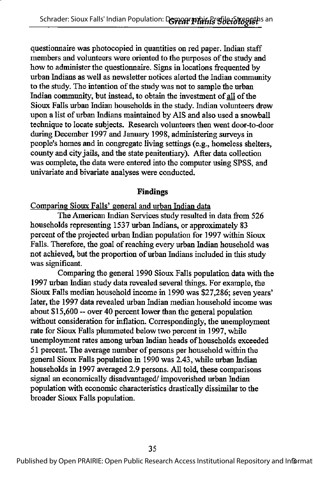questionnaire was photocopied in quantities on red paper. Indian staff members and volunteers were oriented to the purposes of the study and how to administer the questionnaire. Signs in locations frequented by urban Indians as well as newsletter notices alerted the Indian community to the study. The intention of the study was not to sample the urban Indian community, but instead, to obtain the investment of all of the Sioux Falls urban Indian households in the study. Indian volunteers drew upon a list of urban Indians maintained by AIS and also used a snowball technique to locate subjects. Research volunteers then went door-to-door during December 1997 and January 1998, administering surveys in people's homes and in congregate living settings (e.g., homeless shelters, county and city jails, and die state penitentiary). After data collection was complete, the data were entered into the computer using SPSS, and univariate and bivariate analyses were conducted.

## Findings

Comparing Sioux Falls\* general and urban Indian data

The American Indian Services study resulted in data from 526 households representing 1537 urban Indians, or approximately 83 percent of the projected urban Indian population for 1997 within Sioux Falls. Therefore, the goal of reaching every urban Indian household was not achieved, but the proportion of urban Indians included in this study was significant.

Comparing the general 1990 Sioux Falls population data with the 1997 urban Indian study data revealed several things. For example, the Sioux Falls median household income in 1990 was \$27,286; seven years' later, the 1997 data revealed urban Indian median household income was about  $$15,600$  -- over 40 percent lower than the general population without consideration for inflation. Correspondingly, the unemployment rate for Sioux Falls plummeted below two percent in 1997, while unemployment rates among urban Indian heads of households exceeded 51 percent. The average number of persons per household within the general Sioux Falls population in 1990 was 2.43, while urban Indian households in 1997 averaged 2.9 persons. All told, these comparisons signal an economically disadvantaged/ impoverished urban Indian population with economic characteristics drastically dissimilar to the broader Sioux Falls population.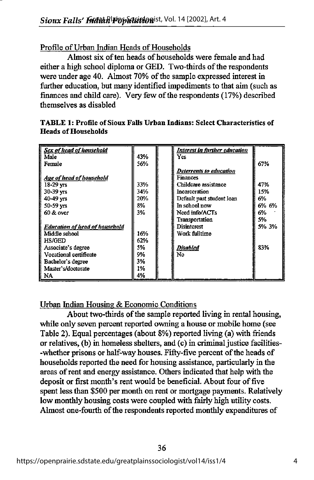### Profile of Urban Indian Heads of Households

Almost six of ten heads of households were female and had either a high school diploma or GED. Two-thirds of the respondents were under age 40. Almost 70% of the sample expressed interest in further education, but many identified impediments to that aim (such as finances and child care). Very few of the respondents (17%) described themselves as disabled

| Sex of head of household       |     | Interest in further education |       |
|--------------------------------|-----|-------------------------------|-------|
| Male                           | 43% | Yes                           |       |
| Female                         | 56% |                               | 67%   |
|                                |     | Deterrents to education       |       |
| Age of head of household       |     | <b>Finances</b>               |       |
| $18-29$ vrs                    | 33% | Childcare assistance          | 47%   |
| $30-39$ yrs                    | 34% | Incarceration                 | 15%   |
| $40 - 49$ vrs                  | 20% | Default past student loan     | 6%    |
| $50 - 59$ yrs                  | 8%  | In school now                 | 6% 6% |
| $60 &$ over                    | 3%  | Need info/ACTs                | 6%    |
|                                |     | Transportation                | 5%    |
| Education of head of household |     | <b>Disinterest</b>            | 5% 3% |
| Middle school                  | 16% | Work fulltime                 |       |
| <b>HS/GED</b>                  | 62% |                               |       |
| Associate's degree             | 5%  | <b>Disabled</b>               | 83%   |
| Vocational certificate         | 9%  | No                            |       |
| Bachelor's degree              | 3%  |                               |       |
| Master's/doctorate             | 1%  |                               |       |
| NA                             | 4%  |                               |       |

TABLE 1: Profile of Sioux Falls Urban Indians: Select Characteristics of **Heads of Households** 

# Urban Indian Housing & Economic Conditions

About two-thirds of the sample reported living in rental housing, while only seven percent reported owning a house or mobile home (see Table 2). Equal percentages (about 8%) reported living (a) with friends or relatives, (b) in homeless shelters, and (c) in criminal justice facilities- -whether prisons or half-way houses. Fifty-five percent of the heads of households reported the need for housing assistance, particularly in the areas ofrent and energy assistance. Others indicated that help with the deposit or first month's rent would be beneficial. About four of five spent less than \$500 per month on rent or mortgage payments. Relatively low monthly housing costs were coupled with fairly high utility costs. Almost one-fourth of the respondents reported monthly expenditures of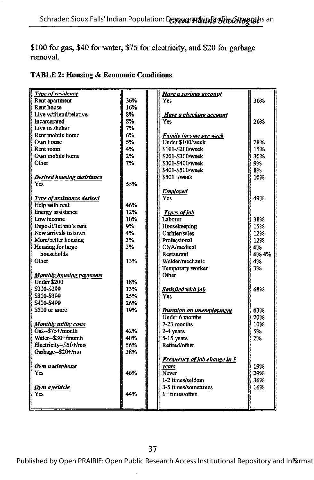# \$100 for gas, \$40 for water, \$75 for electricity, and \$20 for garbage removal.

| <b>Type of residence</b>                            |     | <b>Have a savings account</b>       |       |
|-----------------------------------------------------|-----|-------------------------------------|-------|
| Rent apartment                                      | 36% | Yes                                 | 30%   |
| <b>Rent house</b>                                   | 16% |                                     |       |
| Live w/friend/relative                              | 8%  | Have a checking account             |       |
| Incarcerated                                        | 8%  | Ves                                 | 20%   |
| Live in shelter                                     | 7%  |                                     |       |
| Rent mobile home                                    | 6%  | <b>Family income per week</b>       |       |
| Own house                                           | 5%  | Under \$100/week                    | 28%   |
| Rent room                                           | 4%  | \$101-\$200/week                    | 15%   |
| Own mobile home                                     | 2%  | \$201-\$300/week                    | 30%   |
| Other                                               | 7%  | \$301-\$400/week                    | 9%    |
|                                                     |     | \$401-\$500/week                    | 8%    |
| <b>Desired housing assistance</b>                   |     | $$501+\text{/week}$                 | 10%   |
| Yes                                                 | 55% |                                     |       |
|                                                     |     |                                     |       |
|                                                     |     | <b>Employed</b><br><b>Yes</b>       | 49%   |
| <b>Type of assistance desired</b><br>Help with rent |     |                                     |       |
|                                                     | 46% |                                     |       |
| Energy assistance                                   | 12% | <b>Types of job</b>                 |       |
| Low income                                          | 10% | Laborer                             | 38%   |
| Deposit/1st mo's rent                               | 9%  | Housekeeping                        | 15%   |
| New arrivals to town                                | 4%  | Cashier/sales                       | 12%   |
| More/better housing                                 | 3%  | Professional                        | 12%   |
| Housing for large                                   | 3%  | CNA/medical                         | 6%    |
| households                                          |     | <b>Restaurant</b>                   | 6% 4% |
| Other                                               | 13% | Welder/mechanic                     | 4%    |
|                                                     |     | Temporary worker                    | 3%    |
| <b>Monthly housing payments</b>                     |     | Other                               |       |
| Under \$200                                         | 18% |                                     |       |
| \$200-\$299                                         | 13% | <b>Satisfied with job</b>           | 68%   |
| \$300-\$399                                         | 25% | Yes                                 |       |
| \$400-\$499                                         | 26% |                                     |       |
| \$500 or more                                       | 19% | <b>Duration on unemployment</b>     | 63%   |
|                                                     |     | Under 6 months                      | 20%   |
| <b>Monthly utility costs</b>                        |     | 7-23 months                         | 10%   |
| Gas--\$75+/month                                    | 42% | 2-4 years                           | 5%    |
| Water--\$30+/month                                  | 40% | 5-15 years                          | 2%    |
| Electricity-\$50+/mo                                | 56% | Retired/other                       |       |
| Garbage-\$20+/mo                                    | 38% |                                     |       |
|                                                     |     |                                     |       |
|                                                     |     | <b>Frequency of job change in 5</b> |       |
| <u>Own a telephone</u>                              |     | vears                               | 19%   |
| <b>Yes</b>                                          | 46% | Never                               | 29%   |
|                                                     |     | 1-2 times/seidom                    | 36%   |
| Own a vehicle                                       |     | 3-5 times/sometimes                 | 16%   |
| Yes                                                 | 44% | 6+ times/often                      |       |
|                                                     |     |                                     |       |
|                                                     |     |                                     |       |

# TABLE 2: Housing & Economic Conditions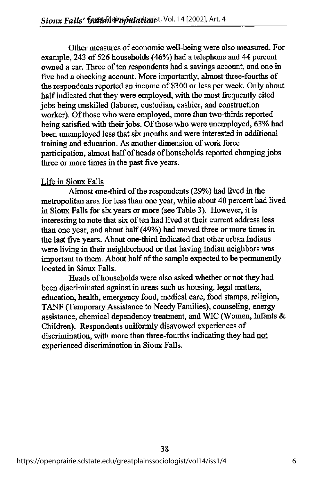Other measures of economic well-being were also measured. For example, 243 of 526 households (46%) had a telephone and 44 percent owned a car. Three of ten respondents had a savings account, and one in five had a checking account. More importantly, almost three-fourths of the respondents reported an income of \$300 or less per week. Only about half indicated that they were employed, with the most frequently cited jobs being unskilled (laborer, custodian, cashier, and construction worker). Of those who were employed, more than two-thirds reported being satisfied with their jobs. Of those who were unemployed, 63% had been unemployed less that six months and were interested in additional training and education. As another dimension of work force participation, almost half of heads of households reported changing jobs three or more times in the past five years.

#### Life in Sioux Falls

Almost one-third of the respondents (29%) had lived in the metropolitan area for less than one year, while about 40 percent had lived in Sioux Falls for six years or more (see Table 3). However, it is interesting to note that six of ten had lived at their current address less than one year, and about half(49%) had moved three or more times in the last five years. About one-third indicated that other urban Indians were living in their neighborhood or that having Indian neighbors was important to them. About half of the sample expected to be permanently located in Sioux Falls.

Heads of households were also asked whether or not they had been discriminated against in areas such as housing, legal matters, education, health, emergency food, medical care, food stamps, religion, TANF (Temporary Assistance to Needy Families), counseling, energy assistance, chemical dependency treatment, and WIC (Women, Infants & Children). Respondents uniformly disavowed experiences of discrimination, with more than three-fourths indicating they had not experienced discrimination in Sioux Falls.

38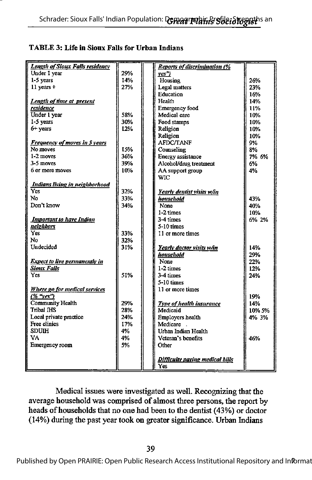#### TABLE 3: Life in Sioux Falls for Urban Indians

| <b>Length of Sioux Falls residency</b> |     | <b>Reports of discrimination (%</b> |        |
|----------------------------------------|-----|-------------------------------------|--------|
| Under 1 year                           | 29% | ves")                               |        |
| 1-5 years                              | 14% | Housing                             | 26%    |
| $11$ vears $+$                         | 27% | Legal matters                       | 23%    |
|                                        |     | Education                           | 16%    |
| Length of time at present              |     | Health                              | 14%    |
| residence                              |     | <b>Emergency food</b>               | 11%    |
| Under 1 year                           | 58% | Medical care                        | 10%    |
| 1-5 years                              | 30% | Food stamps                         | 10%    |
| $6+$ years                             | 12% | Religion                            | 10%    |
|                                        |     | Religion                            | 10%    |
| <b>Frequency of moves in 5 years</b>   |     | <b>AFDC/TANF</b>                    | 9%     |
| No moves                               | 15% | Counseling                          | 8%     |
| 1-2 moves                              | 36% | Energy assistance                   | 7% 6%  |
| 3-5 moves                              | 39% | Alcohol/drug treatment              | 6%     |
| 6 or more moves                        | 10% | AA support group                    | 4%     |
|                                        |     | <b>WIC</b>                          |        |
| Indians living in neighborhood         |     |                                     |        |
| Yes                                    | 32% | Yearly dentist visits w/in          |        |
| No                                     | 33% | household                           | 43%    |
| Don't know                             | 34% | None                                | 40%    |
|                                        |     | $1-2$ times                         | 10%    |
| <b>Important to have Indian</b>        |     | 3-4 times                           | 6% 2%  |
| neighbors                              |     | $5-10$ times                        |        |
| Yes.                                   | 33% | 11 or more times                    |        |
| No                                     | 32% |                                     |        |
| Undecided                              | 31% | Yearly doctor visits w/in           | 14%    |
|                                        |     | household                           | 29%    |
| <b>Expect to live permanently in</b>   |     | None                                | 22%    |
| <b>Sioux Falls</b>                     |     | 1-2 times                           | 12%    |
| Yes                                    | 51% | 3-4 times                           | 24%    |
|                                        |     | 5-10 times                          |        |
|                                        |     | 11 or more times                    |        |
| Where go for medical services          |     |                                     |        |
| (% "ves")                              | 29% |                                     | 19%    |
| <b>Community Health</b>                |     | Type of health insurance            | 14%    |
| Tribal IHS                             | 28% | Medicaid                            | 10% 5% |
| Local private practice                 | 24% | Employers health                    | 4% 3%  |
| <b>Free clinics</b>                    | 17% | Medicare.                           |        |
| <b>SDUIH</b>                           | 4%  | Urban Indian Health                 |        |
| VA                                     | 4%  | Veteran's benefits                  | 46%    |
| Emergency room                         | 5%  | Other                               |        |
|                                        |     |                                     |        |
|                                        |     | Difficulty paying medical bills     |        |
|                                        |     | Yes                                 |        |

Medical issues were investigated as well. Recognizing that the average household was comprised of almost three persons, the report by heads of households that no one had been to the dentist (43%) or doctor (14%) during the past year took on greater significance. Urban Indians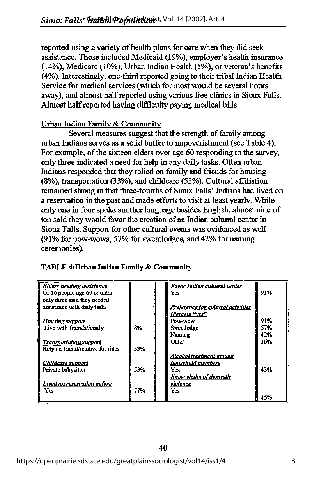reported using a variety of health plans for care when they did seek assistance. Those included Medicaid (19%), employer's health insurance (14%), Medicare (10%), Urban Indian Health (5%), or veteran's benefits (4%). Literestingly, one-third reported going to their tribal Indian Health Service for medical services (which for most would be several hours away), and almost halfreported using various free clinics in Sioux Falls. Almost half reported having difficulty paying medical bills.

# Urban Indian Familv & Community

Several measures suggest that the strength of family among urban Indians serves as a solid buffer to impoverishment (see Table 4). For example, of the sixteen elders over age 60 responding to the survey. only three indicated a need for help in any daily tasks. Often urban Indians responded that they relied on family and friends for housing (8%), transportation (33%), and childcare (53%). Cultural affiliation remained strong in that three-fourths of Sioux Falls' Indians had lived on a reservation in the past and made efforts to visit at least yearly. While only one in four spoke another language besides English, almost nine of ten said they would favor the creation of an Indian cultural center in Sioux Falls. Support for other cultural events was evidenced as well (91% for pow-wows, 57% for sweatlodges, and 42% for naming ceremonies).

| <b>Elders needing assistance</b>  |     | Favor Indian cultural center       |     |
|-----------------------------------|-----|------------------------------------|-----|
| Of 16 people age 60 or older,     |     | Yes                                | 91% |
| only three said they needed       |     |                                    |     |
| assistance with daily tasks       |     | Preference for cultural activities |     |
|                                   |     | (Percent "yes"                     |     |
| <b>Housing support</b>            |     | Pow-wow                            | 91% |
| Live with friends/family          | 8%  | Sweatlodge                         | 57% |
|                                   |     | Naming                             | 42% |
| <b>Transportation support</b>     |     | Other                              | 16% |
| Rely on friend/relative for rides | 33% |                                    |     |
|                                   |     | Alcohol treatment among            |     |
| <b>Childcare</b> support          |     | household members                  |     |
| Private babysitter                | 53% | Yes.                               | 43% |
|                                   |     | Know victim of domestic            |     |
| Lived on reservation before       |     | violence                           |     |
| <b>Yes</b>                        | 77% | Yes                                |     |
|                                   |     |                                    | 45% |

#### TABLE 4:Urban Indian Family & Community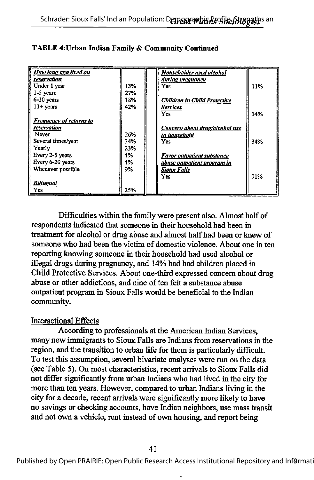| How long ago lived on<br>reservation<br>Under 1 year<br>$1-5$ years                                       | 13%<br>27%              | Householder used alcohol<br><i>during pregnancy</i><br>Yes                                        | 11% |
|-----------------------------------------------------------------------------------------------------------|-------------------------|---------------------------------------------------------------------------------------------------|-----|
| 6-10 years<br>$11 + \text{years}$                                                                         | 18%<br>42%              | <b>Children in Child Protective</b><br>Services<br>Yes                                            | 14% |
| <b>Frequency of returns to</b><br>reservation<br>Never<br>Several times/year<br>Yearly<br>Every 2-5 years | 26%<br>34%<br>23%<br>4% | Concern about drug/alcohol use<br>in household<br><b>Yes</b><br><b>Favor outpatient substance</b> | 34% |
| Every 6-20 years<br>Whenever possible<br><b>Bilingual</b><br>Yes                                          | 4%<br>9%<br>25%         | abuse outpatient program in<br><b>Sioux Falls</b><br><b>Yes</b>                                   | 91% |

#### TABLE 4:Urban Indian Family & Community Continued

Difficulties within the family were present also. Almost half of respondents indicated that someone in their household had been in treatment for alcohol or drug abuse and almost halfhad been or knew of someone who had been the victim of domestic violence. About one in ten reporting knowing someone in their household had used alcohol or illegal drugs during pregnancy, and 14% had had children placed in Child Protective Services. About one-third expressed concern about drug abuse or other addictions, and nine of ten felt a substance abuse outpatient program in Sioux Falls would be beneficial to the Indian community.

#### Interactional Effects

According to professionals at the American Indian Services, many new immigrants to Sioux Falls are Indians from reservations in the region, and the transition to urban life for them is particularly difficult. To test this assumption, several bivariate analyses were run on die data (see Table 5). On most characteristics, recent arrivals to Sioux Falls did not differ significantly from urban Indians who had lived in the city for more than ten years. However, compared to urban Indians living in the city for a decade, recent arrivals were significantly more likely to have no savings or checking accounts, have Indian neighbors, use mass transit and not own a vehicle, rent instead of own housing, and report being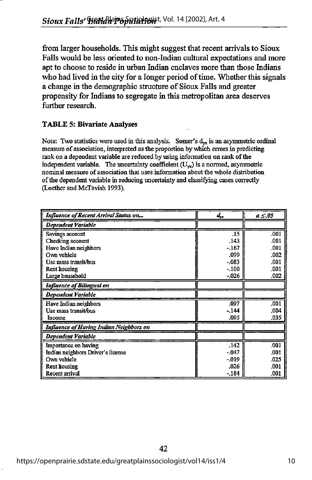from larger households. This might suggest that recent arrivals to Sioux Falls would be less oriented to non-Indian cultural expectations and more apt to choose to reside in urban Indian enclaves more than those Indians who had lived in the city for a longer period of time. Whether this signals a change in the demographic structure of Sioux Falls and greater propensity for Indians to segregate in this metropolitan area deserves further research.

#### TABLE 5: Bivariate Analyses

Note: Two statistics were used in this analysis. Somer's  $d_{yx}$  is an asymmetric ordinal measure of association, interpreted as the proportion by which errors in predicting rank on a dependent variable are reduced by using information on rank of the independent variable. The uncertainty coefficient  $(U_{yx})$  is a normed, asymmetric nominal measure of association that uses information about the whole distribution of the dependent variable in reducing uncertainty and classifying cases correctly (Loether and McTavish 1993).

| <b>Influence of Recent Arrival Status on</b>   | $d_{\scriptscriptstyle{yx}}$ | $a \leq .05$ |
|------------------------------------------------|------------------------------|--------------|
| <b>Dependent Variable</b>                      |                              |              |
| Savings account                                | .15                          | .001         |
| Checking account                               | .143                         | .001         |
| Have Indian neighbors                          | $-167$                       | .001         |
| Own vehicle                                    | .099                         | .002         |
| Use mass transit/bus                           | $-.083$                      | .001         |
| Rent housing                                   | $-.100$                      | .001         |
| Large household                                | $-026$                       | .002         |
| <b>Influence of Bilingual on</b>               |                              |              |
| Dependent Variable                             |                              |              |
| Have Indian neighbors                          | .097                         | .001         |
| Use mass transit/bus                           | $-144$                       | .004         |
| Income                                         | .095                         | .035         |
| <b>Influence of Having Indian Neighbors on</b> |                              |              |
| Dependent Variable                             |                              |              |
| Importance on having                           | .142                         | .001         |
| Indian neighbors Driver's license              | $-.047$                      | .001         |
| Own vehicle                                    | $-019$                       | .025         |
| <b>Rent housing</b>                            | .026                         | .001         |
| Recent arrival                                 | $-184$                       | .001         |

42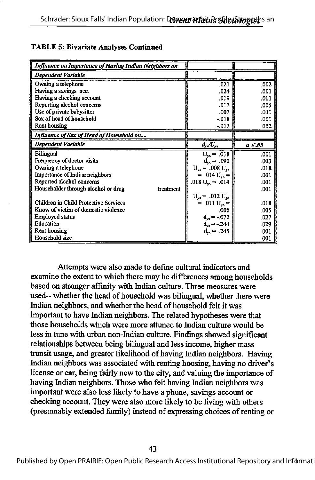| <b>Influence on Importance of Having Indian Neighbors on</b> |                                        |              |
|--------------------------------------------------------------|----------------------------------------|--------------|
| <b>Dependent Variable</b>                                    |                                        |              |
| Owning a telephone                                           | .021                                   | .002         |
| Having a savings acc.                                        | .024                                   | .001         |
| Having a checking account                                    | .019                                   | .011         |
| Reporting alcohol concerns                                   | .017                                   | .005         |
| Use of private babysitter                                    | .107                                   | .031         |
| Sex of head of household                                     | $-0.018$                               | .001         |
| <b>Rent housing</b>                                          | $-017$                                 | .002         |
| Influence of Sex of Head of Household on                     |                                        |              |
| Dependent Variable                                           | $d_{\rm F}/U_{\rm yr}$                 | $a \leq .05$ |
| Bilingual                                                    | $U_{\text{rx}} = .018$                 | .001         |
| Frequency of doctor visits                                   | $d_{xx} = .190$                        | .003         |
| Owning a telephone                                           | $U_{\text{rx}}$ = .008 $U_{\text{rx}}$ | .018         |
| Importance of Indian neighbors                               | $= .014 \text{ U}_{\text{vx}} =$       | .001         |
| Reported alcohol concerns                                    | .018 $U_{\text{ex}} = .014$            | .001         |
| Householder through alcohol or drug<br>treatment             |                                        | .001         |
|                                                              | $U_{\rm ex}$ = .012 $U_{\rm ex}$       |              |
| Children in Child Protective Services                        | $= .011$ U <sub>yx</sub> $=$           | .018         |
| Know of victim of domestic violence                          | .006                                   | .005         |
| <b>Employed status</b>                                       | $d_{yx} = -072$                        | .027         |
| Education                                                    | $d_{yx} = -244$                        | 029          |
| <b>Rent housing</b>                                          | $d_{vx} = .245$                        | .001         |
| Household size                                               |                                        | 001          |

#### TABLE 5: Bivariate Analyses Continued

Attempts were also made to define cultural indicators and examine the extent to which there may be differences among households based on stronger affinity with Indian culture. Three measures were used-- whether the head of household was bilingual, whether there were Indian neighbors, and whether the head of household felt it was important to have Indian neighbors. The related hypotheses were that those households which were more attuned to Indian culture would be less in tune with urban non-Indian culture. Findings showed significant relationships between being bilingual and less income, higher mass transit usage, and greater likelihood of having Indian neighbors. Having Indian neighbors was associated with renting housing, having no driver's license or car, being fairly new to the city, and valuing the importance of having Indian neighbors. Those who felt having Indian neighbors was important were also less likely to have a phone, savings account or checking account. They were also more likely to be living with others (presumably extended family) instead of expressing choices of renting or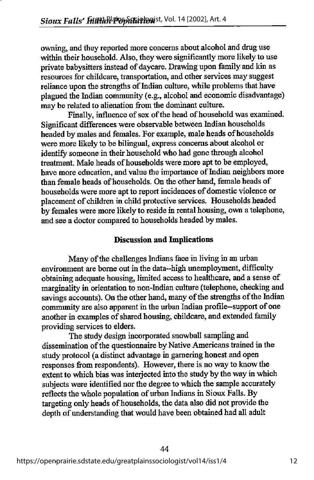owning, and they reported more concerns about alcohol and drug use within their household. Also, they were significantly more likely to use private babysitters instead of daycare. Drawing upon family and kin as resources for childcare, transportation, and other services may suggest reliance upon the strengths of Indian culture, while problems that have plagued the Indian community (e.g., alcohol and economic disadvantage) may be related to alienation from the dominant culture.

Finally, influence of sex of the head of household was examined. Significant differences were observable between Indian households headed by males and females. For example, male heads of households were more likely to be bilingual, express concerns about alcohol or identify someone in their household who had gone through alcohol treatment. Male heads of households were more apt to be employed, have more education, and value the importance of Indian neighbors more than female heads of households. On the other hand, female heads of households were more apt to report incidences of domestic violence or placement of children in child protective services. Households headed by females were more likely to reside in rental housing, own a telephone, and see a doctor compared to households headed by males.

# Discussion and Implications

Many of the challenges Indians face in living in an urban environment are borne out in the data—high unemployment, difficulty obtaining adequate housing, limited access to healthcare, and a sense of marginality in orientation to non-Indian culture (telephone, checking and savings accounts). On the other hand, many of the strengths of the Indian community are also apparent in the urban Indian profile--support of one another in examples of shared housing, childcare, and extended family providing services to elders.

The study design incorporated snowball sampling and dissemination of the questionnaire by Native Americans trained in the study protocol (a distinct advantage in garnering honest and open responses from respondents). However, there is no way to know the extent to which bias was interjected into the study by the way in which subjects were identified nor the degree to which the sample accurately reflects the whole population of urban Indians in Sioux Falls. By targeting only heads of households, the data also did not provide the depth of understanding that would have been obtained had all adult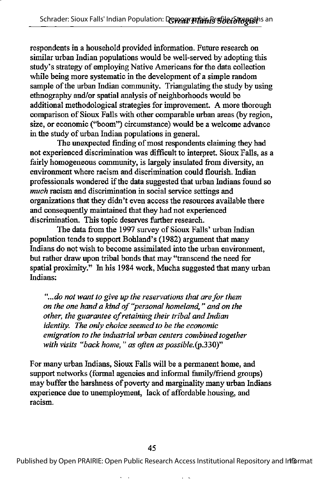respondents in a household provided information. Future research on similar urban Indian populations would be well-served by adopting this study's strategy of employing Native Americans for the data collection while being more systematic in the development of a simple random sample of the urban Indian community. Triangulating the study by using ethnography and/or spatial analysis of neighborhoods would be additional methodological strategies for improvement. A more thorough comparison of Sioux Falls with other comparable urban areas (by region, size, or economic ("boom") circumstance) would be a welcome advance in the study of urban Indian populations in general.

The unexpected finding of most respondents claiming they had not experienced discrimination was difficult to interpret. Sioux Falls, as a fairly homogeneous community, is largely insulated from diversity, an environment where racism and discrimination could flourish. Indian professionals wondered ifthe data suggested that urban Indians found so much racism and discrimination in social service settings and organizations that they didn't even access the resources available there and consequently maintained that they had not experienced discrimination. This topic deserves further research.

The data from the 1997 survey of Sioux Falls' urban Indian population tends to support Bohland's (1982) argument that many Indians do not wish to become assimilated into the urban environment, but rather draw upon tribal bonds that may "transcend the need for spatial proximity." In his 1984 work, Mucha suggested that many urban Indians:

"...do not want to give up the reservations that are for them on the one hand a kind of "personal homeland," and on the other, the guarantee of retaining their tribal and Indian identity. The only choice seemed to be the economic emigration to the industrial urban centers combined together with visits "back home," as often as possible. $(p.330)$ "

For many urban Indians, Sioux Falls will be a permanent home, and support networks (formal agencies and informal family/friend groups) may buffer the harshness of poverty and marginality many urban Indians experience due to imemployment, lack of affordable housing, and racism.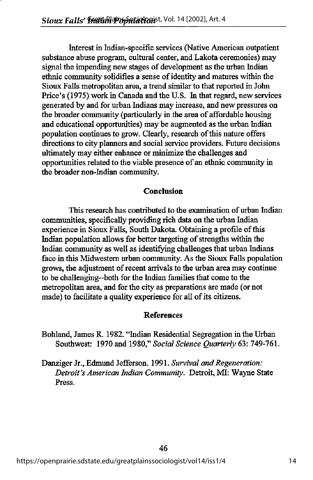Interest in Indian-specific services (Native American outpatient substance abuse program, cultural center, and Lakota ceremonies) may signal the impending new stages of development as the urban Indian ethnic community solidifies a sense of identity and matures within the Sioux Falls metropolitan area, a trend similar to that reported in John Price's (1975) work in Canada and the U.S. In that regard, new services generated by and for urban Indians may increase, and new pressures on the broader community (particularly in the area of affordable housing and educational opportunities) may be augmented as the urban Indian population continues to grow. Clearly, research of this nature offers directions to city planners and social service providers. Future decisions ultimately may either enhance or minimize the challenges and opportunities related to the viable presence of an ethnic community in the broader non-Indian community.

## Conclusion

This research has contributed to the examination of urban Indian communities, specifically providing rich data on the urban Indian experience in Sioux Falls, South Dakota. Obtaining a profile of this Indian population allows for better targeting of strengths within the Indian community as well as identifying challenges that urban Indians face in this Midwestern urban community. As the Sioux Falls population grows, the adjustment of recent arrivals to the urban area may continue to be challenging--both for the Indian families that come to the metropolitan area, and for the city as preparations are made (or not made) to facilitate a quality experience for all of its citizens.

#### References

Bohland, James R. 1982. "Indian Residential Segregation in the Urban Southwest: 1970 and 1980," Social Science Ouarterly 63: 749-761.

Danziger Jr., Edmund Jefferson. 1991. Survival and Regeneration: Detroit's American Indian Community. Detroit, MI: Wayne State Press.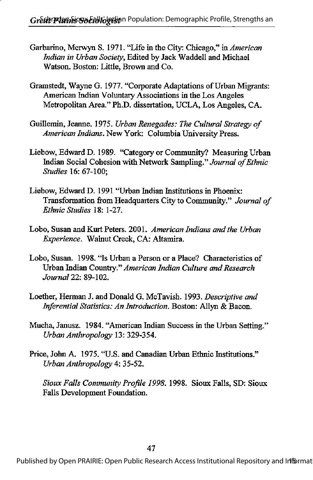- Garbarino, Merwyn S. 1971. "Life in the City: Chicago," in American Indian in Urban Society, Edited by Jack Waddell and Michael Watson. Boston: Little, Brown and Co.
- Gramstedt, Wayne G. 1977. "Corporate Adaptations of Urban Migrants: American Indian Voluntary Associations in the Los Angeles Metropolitan Area." Ph.D. dissertation, UCLA, Los Angeles, CA.
- Guillemin, Jeanne. 1975. Urban Renegades: The Cultural Strategy of American Indians. New York: Columbia University Press.
- Liebow, Edward D. 1989. "Category or Community? Measuring Urban Indian Social Cohesion with Network Sampling." Journal of Ethnic Studies 16; 67-100;
- Liebow, Edward D. 1991 "Urban Indian Institutions in Phoenix: Transformation from Headquarters City to Community." Journal of Ethnic Studies 18: 1-27.
- Lobo, Susan and Kurt Peters. 2001. American Indians and the Urban Experience. Walnut Creek, CA: Altamira.
- Lobo, Susan. 1998. "Is Urban a Person or a Place? Characteristics of Urban Indian Country." American Indian Culture and Research Journal 22: 89-102.
- Loether, Herman J. and Donald G. McTavish. 1993. Descriptive and Inferential Statistics: An Introduction. Boston: Allyn & Bacon.
- Mucha, Janusz. 1984. "American Indian Success in the Urban Setting." Urban Anthropology 13: 329-354.
- Price, John A, 1975. "U.S. and Canadian Urban Ethnic Institutions." Urban Anthropology 4: 35-52.

Sioux Falls Community Profile 1998. 1998. Sioux Falls, SD: Sioux Falls Development Foundation.